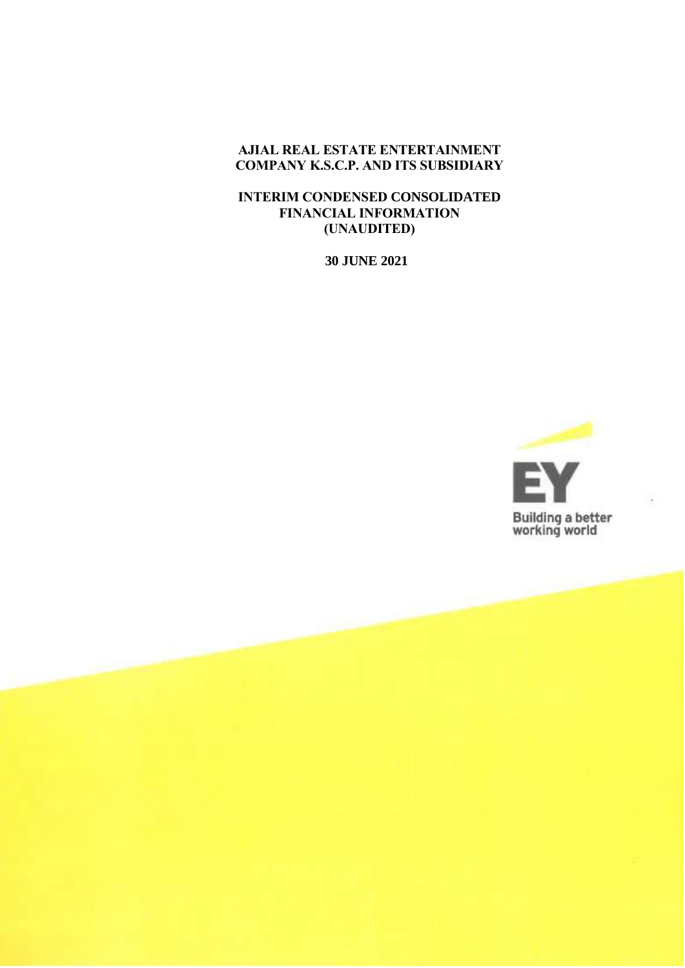## **AJIAL REAL ESTATE ENTERTAINMENT COMPANY K.S.C.P. AND ITS SUBSIDIARY**

### **INTERIM CONDENSED CONSOLIDATED FINANCIAL INFORMATION (UNAUDITED)**

**30 JUNE 2021**

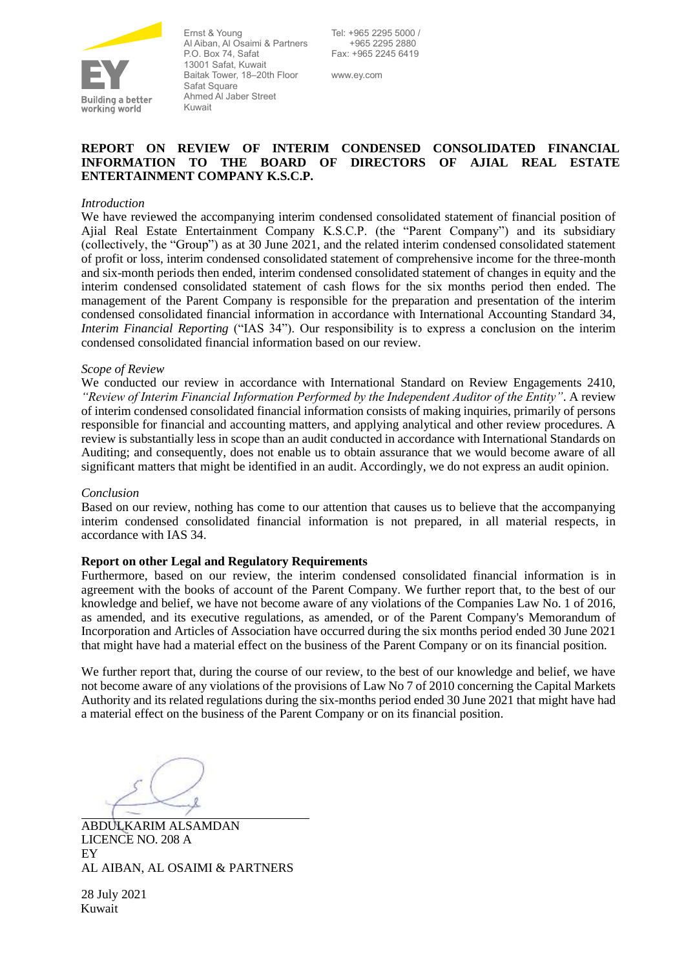

Ernst & Young Al Aiban, Al Osaimi & Partners P.O. Box 74, Safat 13001 Safat, Kuwait Baitak Tower, 18–20th Floor Safat Square Ahmed Al Jaber Street Kuwait

Tel: +965 2295 5000 / +965 2295 2880 Fax: +965 2245 6419

www.ey.com

### **REPORT ON REVIEW OF INTERIM CONDENSED CONSOLIDATED FINANCIAL INFORMATION TO THE BOARD OF DIRECTORS OF AJIAL REAL ESTATE ENTERTAINMENT COMPANY K.S.C.P.**

### *Introduction*

We have reviewed the accompanying interim condensed consolidated statement of financial position of Ajial Real Estate Entertainment Company K.S.C.P. (the "Parent Company") and its subsidiary (collectively, the "Group") as at 30 June 2021, and the related interim condensed consolidated statement of profit or loss, interim condensed consolidated statement of comprehensive income for the three-month and six-month periods then ended, interim condensed consolidated statement of changes in equity and the interim condensed consolidated statement of cash flows for the six months period then ended. The management of the Parent Company is responsible for the preparation and presentation of the interim condensed consolidated financial information in accordance with International Accounting Standard 34, *Interim Financial Reporting* ("IAS 34"). Our responsibility is to express a conclusion on the interim condensed consolidated financial information based on our review.

### *Scope of Review*

We conducted our review in accordance with International Standard on Review Engagements 2410, *"Review of Interim Financial Information Performed by the Independent Auditor of the Entity"*. A review of interim condensed consolidated financial information consists of making inquiries, primarily of persons responsible for financial and accounting matters, and applying analytical and other review procedures. A review is substantially less in scope than an audit conducted in accordance with International Standards on Auditing; and consequently, does not enable us to obtain assurance that we would become aware of all significant matters that might be identified in an audit. Accordingly, we do not express an audit opinion.

### *Conclusion*

Based on our review, nothing has come to our attention that causes us to believe that the accompanying interim condensed consolidated financial information is not prepared, in all material respects, in accordance with IAS 34.

### **Report on other Legal and Regulatory Requirements**

Furthermore, based on our review, the interim condensed consolidated financial information is in agreement with the books of account of the Parent Company. We further report that, to the best of our knowledge and belief, we have not become aware of any violations of the Companies Law No. 1 of 2016, as amended, and its executive regulations, as amended, or of the Parent Company's Memorandum of Incorporation and Articles of Association have occurred during the six months period ended 30 June 2021 that might have had a material effect on the business of the Parent Company or on its financial position.

We further report that, during the course of our review, to the best of our knowledge and belief, we have not become aware of any violations of the provisions of Law No 7 of 2010 concerning the Capital Markets Authority and its related regulations during the six-months period ended 30 June 2021 that might have had a material effect on the business of the Parent Company or on its financial position.

ABDULKARIM ALSAMDAN LICENCE NO. 208 A EY AL AIBAN, AL OSAIMI & PARTNERS

28 July 2021 Kuwait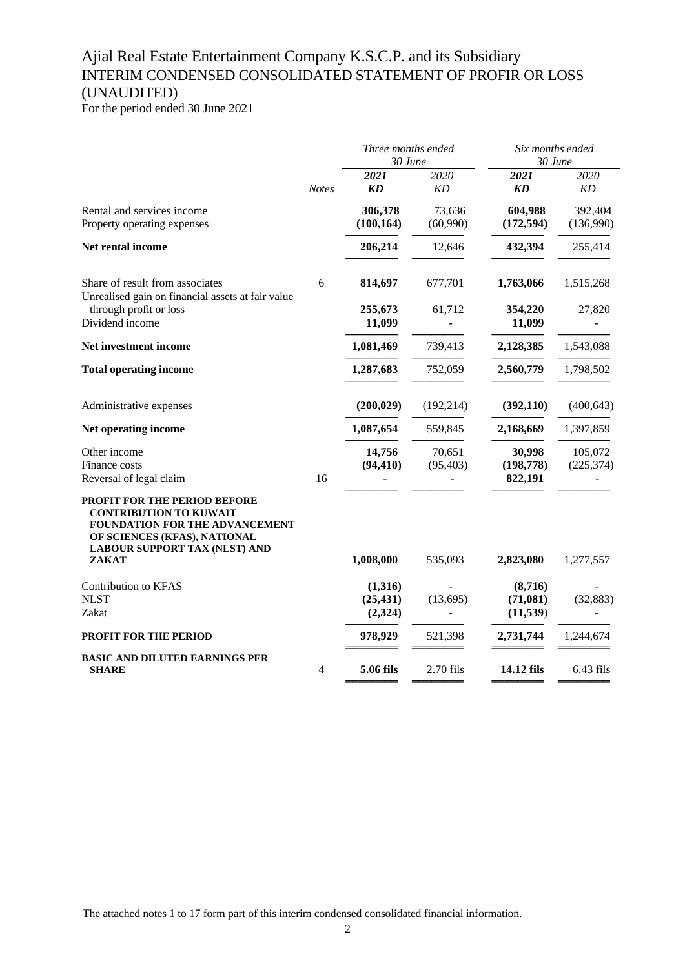# INTERIM CONDENSED CONSOLIDATED STATEMENT OF PROFIR OR LOSS (UNAUDITED)

For the period ended 30 June 2021

|                                                                                                                                                                                         |              | Three months ended<br>30 June          |                     | Six months ended<br>30 June            |                       |  |
|-----------------------------------------------------------------------------------------------------------------------------------------------------------------------------------------|--------------|----------------------------------------|---------------------|----------------------------------------|-----------------------|--|
|                                                                                                                                                                                         | <b>Notes</b> | 2021<br>$\boldsymbol{K}\boldsymbol{D}$ | 2020<br>KD          | 2021<br>$\boldsymbol{K}\boldsymbol{D}$ | 2020<br>KD            |  |
| Rental and services income<br>Property operating expenses                                                                                                                               |              | 306,378<br>(100, 164)                  | 73,636<br>(60,990)  | 604,988<br>(172, 594)                  | 392,404<br>(136,990)  |  |
| Net rental income                                                                                                                                                                       |              | 206,214                                | 12,646              | 432,394                                | 255,414               |  |
| Share of result from associates<br>Unrealised gain on financial assets at fair value                                                                                                    | 6            | 814,697                                | 677,701             | 1,763,066                              | 1,515,268             |  |
| through profit or loss<br>Dividend income                                                                                                                                               |              | 255,673<br>11,099                      | 61,712              | 354,220<br>11,099                      | 27,820                |  |
| Net investment income                                                                                                                                                                   |              | 1,081,469                              | 739,413             | 2,128,385                              | 1,543,088             |  |
| <b>Total operating income</b>                                                                                                                                                           |              | 1,287,683                              | 752,059             | 2,560,779                              | 1,798,502             |  |
| Administrative expenses                                                                                                                                                                 |              | (200, 029)                             | (192, 214)          | (392, 110)                             | (400, 643)            |  |
| Net operating income                                                                                                                                                                    |              | 1,087,654                              | 559,845             | 2,168,669                              | 1,397,859             |  |
| Other income<br>Finance costs<br>Reversal of legal claim                                                                                                                                | 16           | 14,756<br>(94, 410)                    | 70,651<br>(95, 403) | 30,998<br>(198, 778)<br>822,191        | 105,072<br>(225, 374) |  |
| <b>PROFIT FOR THE PERIOD BEFORE</b><br><b>CONTRIBUTION TO KUWAIT</b><br>FOUNDATION FOR THE ADVANCEMENT<br>OF SCIENCES (KFAS), NATIONAL<br><b>LABOUR SUPPORT TAX (NLST) AND</b><br>ZAKAT |              | 1,008,000                              | 535,093             | 2,823,080                              | 1,277,557             |  |
| Contribution to KFAS<br><b>NLST</b><br>Zakat                                                                                                                                            |              | (1,316)<br>(25, 431)<br>(2, 324)       | (13, 695)           | (8,716)<br>(71,081)<br>(11, 539)       | (32, 883)             |  |
| PROFIT FOR THE PERIOD                                                                                                                                                                   |              | 978,929                                | 521,398             | 2,731,744                              | 1,244,674             |  |
| <b>BASIC AND DILUTED EARNINGS PER</b><br><b>SHARE</b>                                                                                                                                   | 4            | 5.06 fils                              | 2.70 fils           | 14.12 fils                             | $6.43$ fils           |  |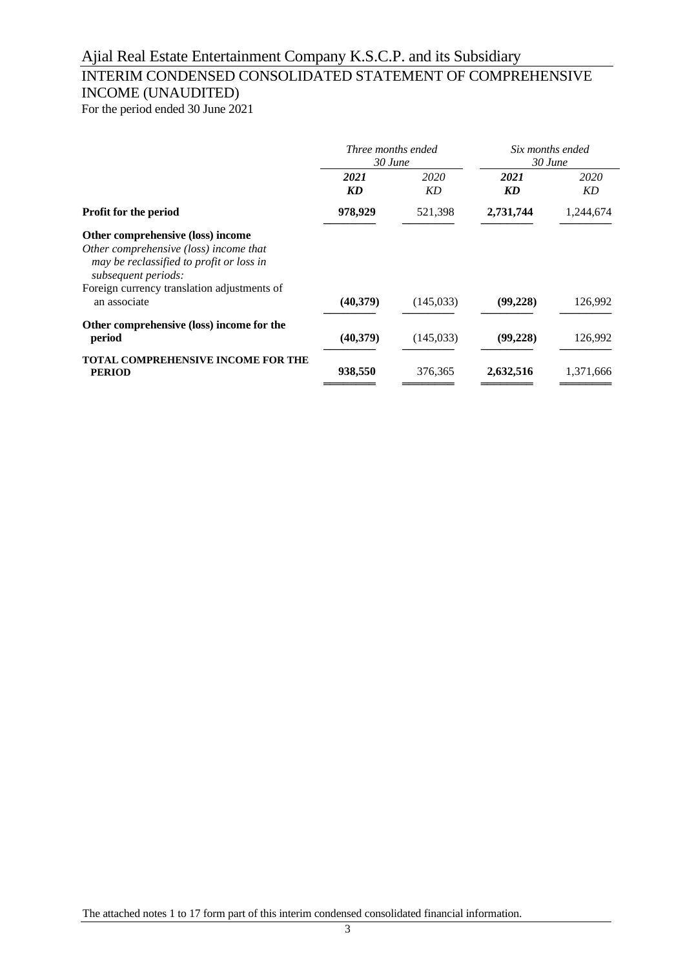## INTERIM CONDENSED CONSOLIDATED STATEMENT OF COMPREHENSIVE INCOME (UNAUDITED)

For the period ended 30 June 2021

|                                                                                                                                                                                                               | Three months ended<br>$30$ June |            | Six months ended<br>$30$ June |            |
|---------------------------------------------------------------------------------------------------------------------------------------------------------------------------------------------------------------|---------------------------------|------------|-------------------------------|------------|
|                                                                                                                                                                                                               | 2021<br>KD                      | 2020<br>KD | 2021<br>KD                    | 2020<br>KD |
| Profit for the period                                                                                                                                                                                         | 978,929                         | 521,398    | 2,731,744                     | 1,244,674  |
| Other comprehensive (loss) income<br>Other comprehensive (loss) income that<br>may be reclassified to profit or loss in<br>subsequent periods:<br>Foreign currency translation adjustments of<br>an associate | (40, 379)                       | (145, 033) | (99, 228)                     | 126,992    |
| Other comprehensive (loss) income for the<br>period                                                                                                                                                           | (40, 379)                       | (145, 033) | (99, 228)                     | 126,992    |
| <b>TOTAL COMPREHENSIVE INCOME FOR THE</b><br><b>PERIOD</b>                                                                                                                                                    | 938,550                         | 376,365    | 2,632,516                     | 1,371,666  |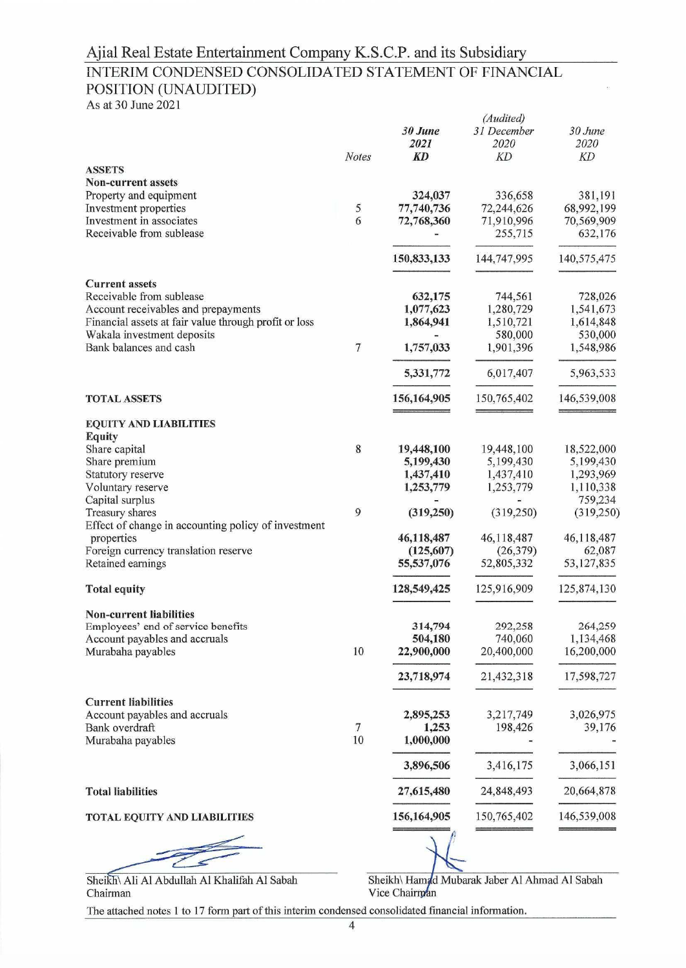## INTERIM CONDENSED CONSOLIDATED STATEMENT OF FINANCIAL POSITION (UNAUDITED)

As at 30 June 2021

|                                                                   |                | 30 June<br>2021      | (Audited)<br>31 December<br>2020 | 30 June<br>2020      |
|-------------------------------------------------------------------|----------------|----------------------|----------------------------------|----------------------|
| <b>ASSETS</b>                                                     | <b>Notes</b>   | <b>KD</b>            | KD                               | KD                   |
| <b>Non-current assets</b>                                         |                |                      |                                  |                      |
| Property and equipment                                            |                | 324,037              | 336,658                          | 381,191              |
| Investment properties                                             | 5              | 77,740,736           | 72,244,626                       | 68,992,199           |
| Investment in associates                                          | 6              | 72,768,360           | 71,910,996                       | 70,569,909           |
| Receivable from sublease                                          |                |                      | 255,715                          | 632,176              |
|                                                                   |                | 150,833,133          | 144,747,995                      | 140,575,475          |
| <b>Current assets</b><br>Receivable from sublease                 |                |                      |                                  |                      |
| Account receivables and prepayments                               |                | 632,175<br>1,077,623 | 744,561<br>1,280,729             | 728,026<br>1,541,673 |
| Financial assets at fair value through profit or loss             |                | 1,864,941            | 1,510,721                        | 1,614,848            |
| Wakala investment deposits                                        |                |                      | 580,000                          | 530,000              |
| Bank balances and cash                                            | 7              | 1,757,033            | 1,901,396                        | 1,548,986            |
|                                                                   |                | 5,331,772            | 6,017,407                        | 5,963,533            |
| <b>TOTAL ASSETS</b>                                               |                | 156,164,905          | 150,765,402                      | 146,539,008          |
| <b>EQUITY AND LIABILITIES</b>                                     |                |                      |                                  |                      |
| <b>Equity</b>                                                     |                |                      |                                  |                      |
| Share capital                                                     | 8              | 19,448,100           | 19,448,100                       | 18,522,000           |
| Share premium                                                     |                | 5,199,430            | 5,199,430                        | 5,199,430            |
| Statutory reserve                                                 |                | 1,437,410            | 1,437,410                        | 1,293,969            |
| Voluntary reserve                                                 |                | 1,253,779            | 1,253,779                        | 1,110,338            |
| Capital surplus                                                   |                |                      |                                  | 759,234              |
| Treasury shares                                                   | 9              | (319, 250)           | (319,250)                        | (319, 250)           |
| Effect of change in accounting policy of investment<br>properties |                | 46,118,487           | 46,118,487                       | 46,118,487           |
| Foreign currency translation reserve                              |                | (125,607)            | (26, 379)                        | 62,087               |
| Retained earnings                                                 |                | 55,537,076           | 52,805,332                       | 53,127,835           |
| <b>Total equity</b>                                               |                | 128,549,425          | 125,916,909                      | 125,874,130          |
| <b>Non-current liabilities</b>                                    |                |                      |                                  |                      |
| Employees' end of service benefits                                |                | 314,794              | 292,258                          | 264,259              |
| Account payables and accruals                                     |                | 504,180              | 740,060                          | 1,134,468            |
| Murabaha payables                                                 | $10\,$         | 22,900,000           | 20,400,000                       | 16,200,000           |
|                                                                   |                | 23,718,974           | 21,432,318                       | 17,598,727           |
| <b>Current liabilities</b>                                        |                |                      |                                  |                      |
| Account payables and accruals                                     |                | 2,895,253            | 3,217,749                        | 3,026,975            |
| Bank overdraft                                                    | $\overline{7}$ | 1,253                | 198,426                          | 39,176               |
| Murabaha payables                                                 | $10\,$         | 1,000,000            |                                  |                      |
|                                                                   |                | 3,896,506            | 3,416,175                        | 3,066,151            |
| <b>Total liabilities</b>                                          |                | 27,615,480           | 24,848,493                       | 20,664,878           |
| <b>TOTAL EQUITY AND LIABILITIES</b>                               |                | 156,164,905          | 150,765,402                      | 146,539,008          |
|                                                                   |                |                      |                                  |                      |
|                                                                   |                |                      |                                  |                      |

Sheikh\ Ali Al Abdullah Al Khalifah Al Sabah Chairman

Sheikh\ Hamad Mubarak Jaber Al Ahmad Al Sabah Vice Chairman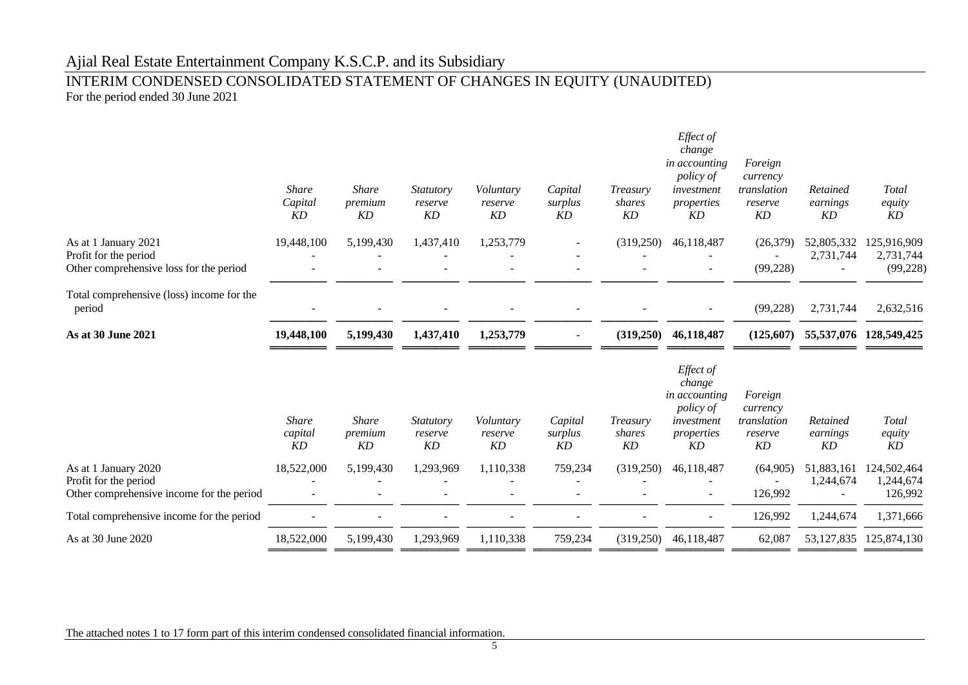### INTERIM CONDENSED CONSOLIDATED STATEMENT OF CHANGES IN EQUITY (UNAUDITED) For the period ended 30 June 2021

|                                                                                            | <b>Share</b><br>Capital<br>KD | <b>Share</b><br>premium<br>KD | <b>Statutory</b><br>reserve<br>KD | Voluntary<br>reserve<br>KD | Capital<br>surplus<br>KD | Treasury<br>shares<br>KD | Effect of<br>change<br>in accounting<br><i>policy of</i><br>investment<br>properties<br>KD | Foreign<br>currency<br>translation<br>reserve<br>KD | Retained<br>earnings<br>KD | Total<br>equity<br>KD                 |
|--------------------------------------------------------------------------------------------|-------------------------------|-------------------------------|-----------------------------------|----------------------------|--------------------------|--------------------------|--------------------------------------------------------------------------------------------|-----------------------------------------------------|----------------------------|---------------------------------------|
| As at 1 January 2021<br>Profit for the period<br>Other comprehensive loss for the period   | 19,448,100                    | 5,199,430                     | 1,437,410                         | 1,253,779                  |                          | (319,250)                | 46,118,487                                                                                 | (26,379)<br>(99, 228)                               | 52,805,332<br>2,731,744    | 125,916,909<br>2,731,744<br>(99, 228) |
| Total comprehensive (loss) income for the<br>period                                        |                               |                               |                                   |                            |                          |                          |                                                                                            | (99, 228)                                           | 2,731,744                  | 2,632,516                             |
| As at 30 June 2021                                                                         | 19,448,100                    | 5,199,430                     | 1,437,410                         | 1,253,779                  | $\overline{\phantom{a}}$ | (319,250)                | 46,118,487                                                                                 | (125,607)                                           |                            | 55,537,076 128,549,425                |
|                                                                                            | <b>Share</b><br>capital<br>KD | <b>Share</b><br>premium<br>KD | <i>Statutory</i><br>reserve<br>KD | Voluntary<br>reserve<br>KD | Capital<br>surplus<br>KD | Treasury<br>shares<br>KD | Effect of<br>change<br>in accounting<br><i>policy of</i><br>investment<br>properties<br>KD | Foreign<br>currency<br>translation<br>reserve<br>KD | Retained<br>earnings<br>KD | Total<br>equity<br>KD                 |
| As at 1 January 2020<br>Profit for the period<br>Other comprehensive income for the period | 18,522,000                    | 5,199,430                     | 1,293,969                         | 1,110,338                  | 759,234                  | (319,250)                | 46,118,487<br>$\overline{\phantom{a}}$                                                     | (64,905)<br>126,992                                 | 51,883,161<br>1,244,674    | 124,502,464<br>1,244,674<br>126,992   |
| Total comprehensive income for the period                                                  |                               |                               |                                   |                            |                          |                          | $\overline{\phantom{a}}$                                                                   | 126,992                                             | 1,244,674                  | 1,371,666                             |
| As at 30 June 2020                                                                         | 18,522,000                    | 5,199,430                     | 1,293,969                         | 1,110,338                  | 759,234                  | (319,250)                | 46,118,487                                                                                 | 62,087                                              | 53,127,835                 | 125,874,130                           |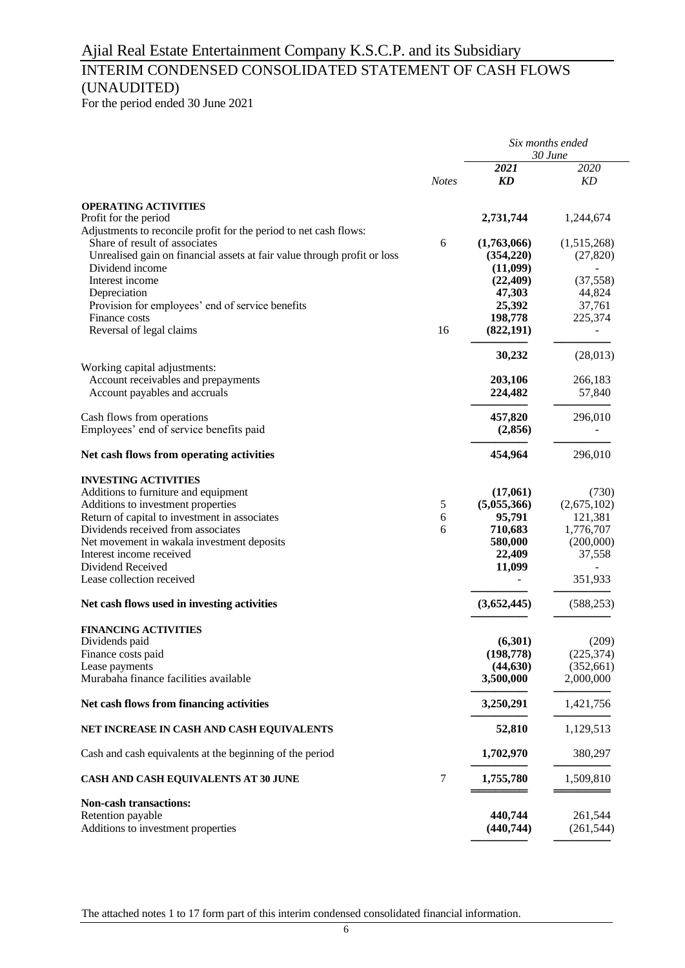## INTERIM CONDENSED CONSOLIDATED STATEMENT OF CASH FLOWS (UNAUDITED)

For the period ended 30 June 2021

|                                                                                                                                                                                                                                                                                                                              |              | Six months ended<br>30 June                                                 |                                                                                |  |
|------------------------------------------------------------------------------------------------------------------------------------------------------------------------------------------------------------------------------------------------------------------------------------------------------------------------------|--------------|-----------------------------------------------------------------------------|--------------------------------------------------------------------------------|--|
|                                                                                                                                                                                                                                                                                                                              | <b>Notes</b> | 2021<br>KD                                                                  | 2020<br>KD                                                                     |  |
| <b>OPERATING ACTIVITIES</b><br>Profit for the period<br>Adjustments to reconcile profit for the period to net cash flows:                                                                                                                                                                                                    |              | 2,731,744                                                                   | 1,244,674                                                                      |  |
| Share of result of associates<br>Unrealised gain on financial assets at fair value through profit or loss<br>Dividend income                                                                                                                                                                                                 | 6            | (1,763,066)<br>(354,220)<br>(11,099)                                        | (1,515,268)<br>(27, 820)                                                       |  |
| Interest income<br>Depreciation<br>Provision for employees' end of service benefits                                                                                                                                                                                                                                          |              | (22, 409)<br>47,303<br>25,392                                               | (37, 558)<br>44,824<br>37,761                                                  |  |
| Finance costs<br>Reversal of legal claims                                                                                                                                                                                                                                                                                    | 16           | 198,778<br>(822, 191)                                                       | 225,374                                                                        |  |
|                                                                                                                                                                                                                                                                                                                              |              | 30,232                                                                      | (28, 013)                                                                      |  |
| Working capital adjustments:<br>Account receivables and prepayments<br>Account payables and accruals                                                                                                                                                                                                                         |              | 203,106<br>224,482                                                          | 266,183<br>57,840                                                              |  |
| Cash flows from operations<br>Employees' end of service benefits paid                                                                                                                                                                                                                                                        |              | 457,820<br>(2,856)                                                          | 296,010                                                                        |  |
| Net cash flows from operating activities                                                                                                                                                                                                                                                                                     |              | 454,964                                                                     | 296,010                                                                        |  |
| <b>INVESTING ACTIVITIES</b><br>Additions to furniture and equipment<br>Additions to investment properties<br>Return of capital to investment in associates<br>Dividends received from associates<br>Net movement in wakala investment deposits<br>Interest income received<br>Dividend Received<br>Lease collection received | 5<br>6<br>6  | (17,061)<br>(5,055,366)<br>95,791<br>710,683<br>580,000<br>22,409<br>11,099 | (730)<br>(2,675,102)<br>121,381<br>1,776,707<br>(200,000)<br>37,558<br>351,933 |  |
| Net cash flows used in investing activities                                                                                                                                                                                                                                                                                  |              | (3,652,445)                                                                 | (588, 253)                                                                     |  |
| <b>FINANCING ACTIVITIES</b><br>Dividends paid<br>Finance costs paid<br>Lease payments<br>Murabaha finance facilities available                                                                                                                                                                                               |              | (6,301)<br>(198, 778)<br>(44, 630)<br>3,500,000                             | (209)<br>(225, 374)<br>(352,661)<br>2,000,000                                  |  |
| Net cash flows from financing activities                                                                                                                                                                                                                                                                                     |              | 3,250,291                                                                   | 1,421,756                                                                      |  |
| NET INCREASE IN CASH AND CASH EQUIVALENTS                                                                                                                                                                                                                                                                                    |              | 52,810                                                                      | 1,129,513                                                                      |  |
| Cash and cash equivalents at the beginning of the period                                                                                                                                                                                                                                                                     |              | 1,702,970                                                                   | 380,297                                                                        |  |
| CASH AND CASH EQUIVALENTS AT 30 JUNE                                                                                                                                                                                                                                                                                         | 7            | 1,755,780                                                                   | 1,509,810                                                                      |  |
| Non-cash transactions:<br>Retention payable<br>Additions to investment properties                                                                                                                                                                                                                                            |              | 440,744<br>(440,744)                                                        | 261,544<br>(261, 544)                                                          |  |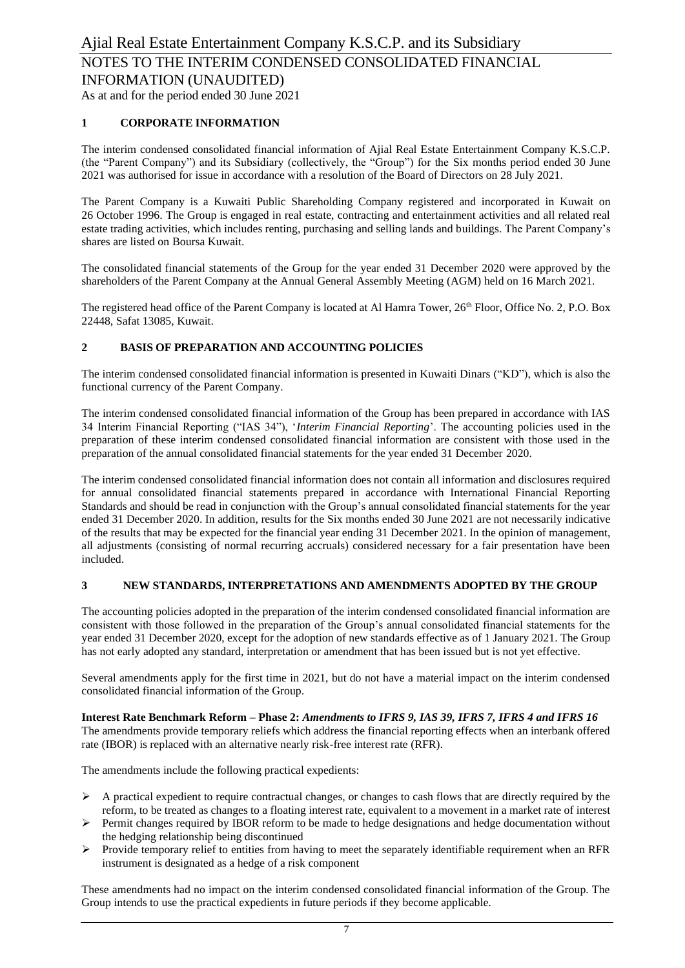As at and for the period ended 30 June 2021

### **1 CORPORATE INFORMATION**

The interim condensed consolidated financial information of Ajial Real Estate Entertainment Company K.S.C.P. (the "Parent Company") and its Subsidiary (collectively, the "Group") for the Six months period ended 30 June 2021 was authorised for issue in accordance with a resolution of the Board of Directors on 28 July 2021.

The Parent Company is a Kuwaiti Public Shareholding Company registered and incorporated in Kuwait on 26 October 1996. The Group is engaged in real estate, contracting and entertainment activities and all related real estate trading activities, which includes renting, purchasing and selling lands and buildings. The Parent Company's shares are listed on Boursa Kuwait.

The consolidated financial statements of the Group for the year ended 31 December 2020 were approved by the shareholders of the Parent Company at the Annual General Assembly Meeting (AGM) held on 16 March 2021.

The registered head office of the Parent Company is located at Al Hamra Tower, 26<sup>th</sup> Floor, Office No. 2, P.O. Box 22448, Safat 13085, Kuwait.

### **2 BASIS OF PREPARATION AND ACCOUNTING POLICIES**

The interim condensed consolidated financial information is presented in Kuwaiti Dinars ("KD"), which is also the functional currency of the Parent Company.

The interim condensed consolidated financial information of the Group has been prepared in accordance with IAS 34 Interim Financial Reporting ("IAS 34"), '*Interim Financial Reporting*'. The accounting policies used in the preparation of these interim condensed consolidated financial information are consistent with those used in the preparation of the annual consolidated financial statements for the year ended 31 December 2020.

The interim condensed consolidated financial information does not contain all information and disclosures required for annual consolidated financial statements prepared in accordance with International Financial Reporting Standards and should be read in conjunction with the Group's annual consolidated financial statements for the year ended 31 December 2020. In addition, results for the Six months ended 30 June 2021 are not necessarily indicative of the results that may be expected for the financial year ending 31 December 2021. In the opinion of management, all adjustments (consisting of normal recurring accruals) considered necessary for a fair presentation have been included.

### **3 NEW STANDARDS, INTERPRETATIONS AND AMENDMENTS ADOPTED BY THE GROUP**

The accounting policies adopted in the preparation of the interim condensed consolidated financial information are consistent with those followed in the preparation of the Group's annual consolidated financial statements for the year ended 31 December 2020, except for the adoption of new standards effective as of 1 January 2021. The Group has not early adopted any standard, interpretation or amendment that has been issued but is not yet effective.

Several amendments apply for the first time in 2021, but do not have a material impact on the interim condensed consolidated financial information of the Group.

**Interest Rate Benchmark Reform – Phase 2:** *Amendments to IFRS 9, IAS 39, IFRS 7, IFRS 4 and IFRS 16* The amendments provide temporary reliefs which address the financial reporting effects when an interbank offered rate (IBOR) is replaced with an alternative nearly risk-free interest rate (RFR).

The amendments include the following practical expedients:

- $\triangleright$  A practical expedient to require contractual changes, or changes to cash flows that are directly required by the reform, to be treated as changes to a floating interest rate, equivalent to a movement in a market rate of interest
- ➢ Permit changes required by IBOR reform to be made to hedge designations and hedge documentation without the hedging relationship being discontinued
- ➢ Provide temporary relief to entities from having to meet the separately identifiable requirement when an RFR instrument is designated as a hedge of a risk component

These amendments had no impact on the interim condensed consolidated financial information of the Group. The Group intends to use the practical expedients in future periods if they become applicable.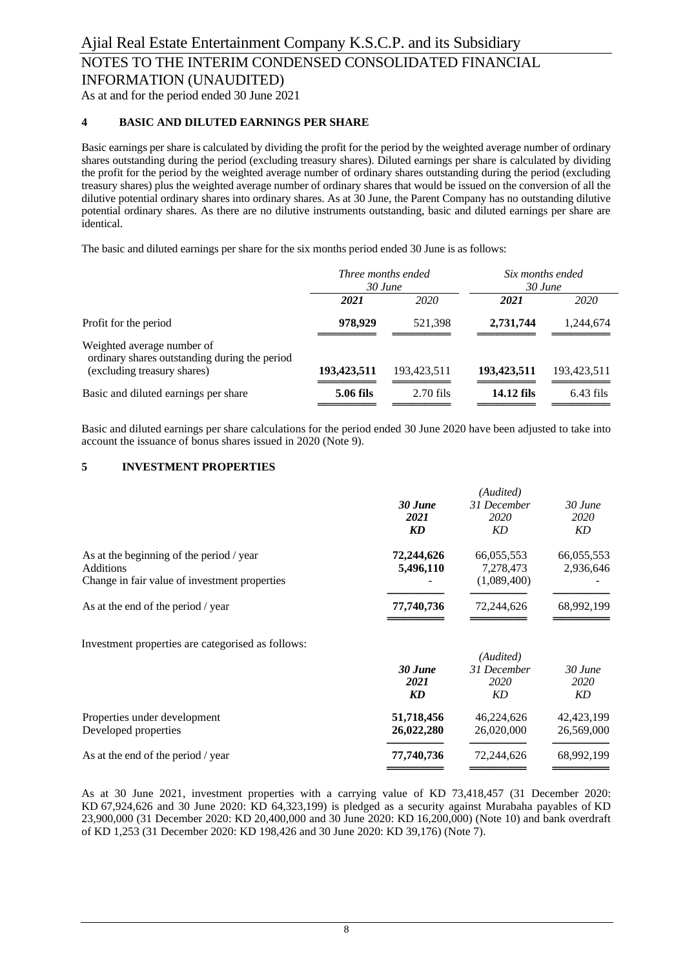As at and for the period ended 30 June 2021

### **4 BASIC AND DILUTED EARNINGS PER SHARE**

Basic earnings per share is calculated by dividing the profit for the period by the weighted average number of ordinary shares outstanding during the period (excluding treasury shares). Diluted earnings per share is calculated by dividing the profit for the period by the weighted average number of ordinary shares outstanding during the period (excluding treasury shares) plus the weighted average number of ordinary shares that would be issued on the conversion of all the dilutive potential ordinary shares into ordinary shares. As at 30 June, the Parent Company has no outstanding dilutive potential ordinary shares. As there are no dilutive instruments outstanding, basic and diluted earnings per share are identical.

The basic and diluted earnings per share for the six months period ended 30 June is as follows:

|                                                                             | Three months ended<br>$30$ June |             | Six months ended<br>$30$ June |             |
|-----------------------------------------------------------------------------|---------------------------------|-------------|-------------------------------|-------------|
|                                                                             | 2021                            | 2020        | 2021                          | 2020        |
| Profit for the period                                                       | 978,929                         | 521,398     | 2,731,744                     | 1,244,674   |
| Weighted average number of<br>ordinary shares outstanding during the period |                                 |             |                               |             |
| (excluding treasury shares)                                                 | 193,423,511                     | 193,423,511 | 193,423,511                   | 193,423,511 |
| Basic and diluted earnings per share                                        | 5.06 fils                       | $2.70$ fils | 14.12 fils                    | $6.43$ fils |

Basic and diluted earnings per share calculations for the period ended 30 June 2020 have been adjusted to take into account the issuance of bonus shares issued in 2020 (Note 9).

### **5 INVESTMENT PROPERTIES**

|                                                   | (Audited)  |             |            |
|---------------------------------------------------|------------|-------------|------------|
|                                                   | 30 June    | 31 December | 30 June    |
|                                                   | 2021       | 2020        | 2020       |
|                                                   | KD         | KD          | KD         |
| As at the beginning of the period / year          | 72,244,626 | 66,055,553  | 66,055,553 |
| <b>Additions</b>                                  | 5,496,110  | 7,278,473   | 2,936,646  |
| Change in fair value of investment properties     |            | (1,089,400) |            |
| As at the end of the period / year                | 77,740,736 | 72,244,626  | 68,992,199 |
| Investment properties are categorised as follows: |            |             |            |
|                                                   |            | (Audited)   |            |
|                                                   | 30 June    | 31 December | 30 June    |
|                                                   | 2021       | 2020        | 2020       |
|                                                   | KD         | KD          | KD         |
| Properties under development                      | 51,718,456 | 46,224,626  | 42,423,199 |

| .                                  |            |            |            |
|------------------------------------|------------|------------|------------|
|                                    |            |            |            |
| As at the end of the period / year | 77.740.736 | 72,244,626 | 68,992,199 |

As at 30 June 2021, investment properties with a carrying value of KD 73,418,457 (31 December 2020: KD 67,924,626 and 30 June 2020: KD 64,323,199) is pledged as a security against Murabaha payables of KD 23,900,000 (31 December 2020: KD 20,400,000 and 30 June 2020: KD 16,200,000) (Note 10) and bank overdraft of KD 1,253 (31 December 2020: KD 198,426 and 30 June 2020: KD 39,176) (Note 7).

Developed properties **26,022,280** 26,020,000 26,569,000

═══════ ═══════ ═══════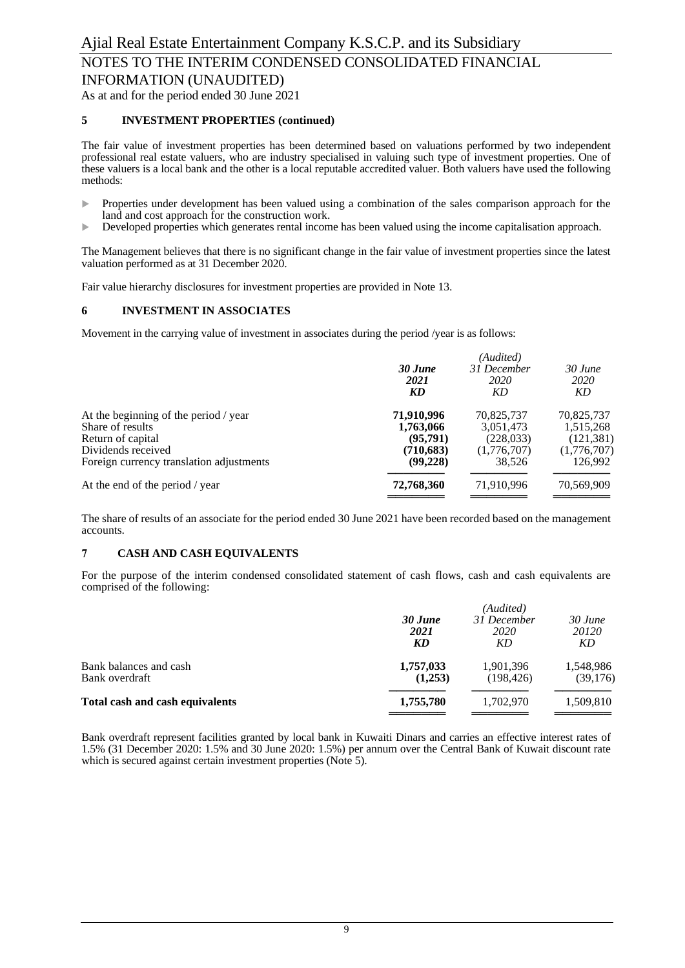# NOTES TO THE INTERIM CONDENSED CONSOLIDATED FINANCIAL

INFORMATION (UNAUDITED)

As at and for the period ended 30 June 2021

### **5 INVESTMENT PROPERTIES (continued)**

The fair value of investment properties has been determined based on valuations performed by two independent professional real estate valuers, who are industry specialised in valuing such type of investment properties. One of these valuers is a local bank and the other is a local reputable accredited valuer. Both valuers have used the following methods:

- **Properties under development has been valued using a combination of the sales comparison approach for the** land and cost approach for the construction work.
- Developed properties which generates rental income has been valued using the income capitalisation approach.

The Management believes that there is no significant change in the fair value of investment properties since the latest valuation performed as at 31 December 2020.

Fair value hierarchy disclosures for investment properties are provided in Note 13.

### **6 INVESTMENT IN ASSOCIATES**

Movement in the carrying value of investment in associates during the period /year is as follows:

|                                          | (Audited)  |             |             |  |
|------------------------------------------|------------|-------------|-------------|--|
|                                          | 30 June    | 31 December | 30 June     |  |
|                                          | 2021       | 2020        | <i>2020</i> |  |
|                                          | KD         | KD          | KD          |  |
| At the beginning of the period / year    | 71,910,996 | 70,825,737  | 70,825,737  |  |
| Share of results                         | 1,763,066  | 3,051,473   | 1,515,268   |  |
| Return of capital                        | (95,791)   | (228, 033)  | (121, 381)  |  |
| Dividends received                       | (710, 683) | (1,776,707) | (1,776,707) |  |
| Foreign currency translation adjustments | (99,228)   | 38.526      | 126.992     |  |
| At the end of the period / year          | 72,768,360 | 71,910,996  | 70,569,909  |  |
|                                          |            |             |             |  |

The share of results of an associate for the period ended 30 June 2021 have been recorded based on the management accounts.

### **7 CASH AND CASH EQUIVALENTS**

For the purpose of the interim condensed consolidated statement of cash flows, cash and cash equivalents are comprised of the following:

|                                          |                      | (Audited)               |                       |  |  |
|------------------------------------------|----------------------|-------------------------|-----------------------|--|--|
|                                          | 30 June              | 31 December             | 30 June               |  |  |
|                                          | 2021<br><b>KD</b>    | 2020<br>KD              | 20120<br>KD           |  |  |
| Bank balances and cash<br>Bank overdraft | 1,757,033<br>(1,253) | 1,901,396<br>(198, 426) | 1,548,986<br>(39,176) |  |  |
| Total cash and cash equivalents          | 1,755,780            | 1.702.970               | 1,509,810             |  |  |
|                                          |                      |                         |                       |  |  |

Bank overdraft represent facilities granted by local bank in Kuwaiti Dinars and carries an effective interest rates of 1.5% (31 December 2020: 1.5% and 30 June 2020: 1.5%) per annum over the Central Bank of Kuwait discount rate which is secured against certain investment properties (Note 5).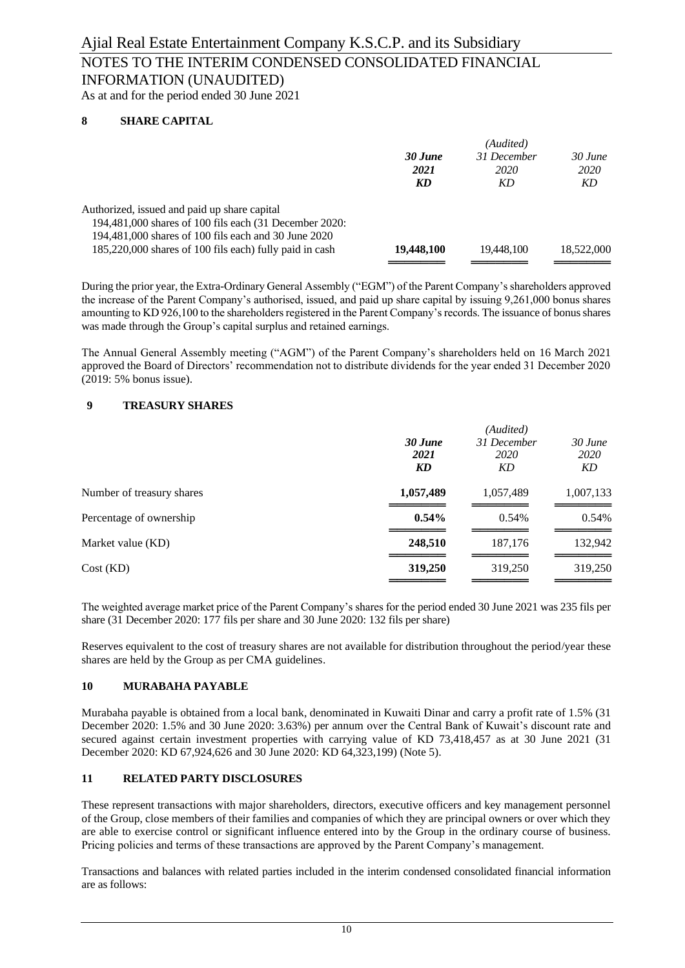## NOTES TO THE INTERIM CONDENSED CONSOLIDATED FINANCIAL INFORMATION (UNAUDITED)

As at and for the period ended 30 June 2021

### **8 SHARE CAPITAL**

|                                                         | (Audited)  |             |            |  |
|---------------------------------------------------------|------------|-------------|------------|--|
|                                                         | 30 June    | 31 December | $30$ June  |  |
|                                                         | 2021       | 2020        | 2020       |  |
|                                                         | KD         | KD          | KD         |  |
| Authorized, issued and paid up share capital            |            |             |            |  |
| 194,481,000 shares of 100 fils each (31 December 2020:  |            |             |            |  |
| 194,481,000 shares of 100 fils each and 30 June 2020    |            |             |            |  |
| 185,220,000 shares of 100 fils each) fully paid in cash | 19,448,100 | 19,448,100  | 18,522,000 |  |
|                                                         |            |             |            |  |

During the prior year, the Extra-Ordinary General Assembly ("EGM") of the Parent Company's shareholders approved the increase of the Parent Company's authorised, issued, and paid up share capital by issuing 9,261,000 bonus shares amounting to KD 926,100 to the shareholders registered in the Parent Company's records. The issuance of bonus shares was made through the Group's capital surplus and retained earnings.

The Annual General Assembly meeting ("AGM") of the Parent Company's shareholders held on 16 March 2021 approved the Board of Directors' recommendation not to distribute dividends for the year ended 31 December 2020 (2019: 5% bonus issue).

### **9 TREASURY SHARES**

| 30 June<br>2021<br>KD | (Audited)<br>31 December<br>2020<br>KD | 30 June<br>2020<br>KD |
|-----------------------|----------------------------------------|-----------------------|
| 1,057,489             | 1,057,489                              | 1,007,133             |
| 0.54%                 | 0.54%                                  | 0.54%                 |
| 248,510               | 187,176                                | 132,942               |
| 319,250               | 319,250                                | 319,250               |
|                       |                                        |                       |

The weighted average market price of the Parent Company's shares for the period ended 30 June 2021 was 235 fils per share (31 December 2020: 177 fils per share and 30 June 2020: 132 fils per share)

Reserves equivalent to the cost of treasury shares are not available for distribution throughout the period/year these shares are held by the Group as per CMA guidelines.

### **10 MURABAHA PAYABLE**

Murabaha payable is obtained from a local bank, denominated in Kuwaiti Dinar and carry a profit rate of 1.5% (31 December 2020: 1.5% and 30 June 2020: 3.63%) per annum over the Central Bank of Kuwait's discount rate and secured against certain investment properties with carrying value of KD 73,418,457 as at 30 June 2021 (31 December 2020: KD 67,924,626 and 30 June 2020: KD 64,323,199) (Note 5).

### **11 RELATED PARTY DISCLOSURES**

These represent transactions with major shareholders, directors, executive officers and key management personnel of the Group, close members of their families and companies of which they are principal owners or over which they are able to exercise control or significant influence entered into by the Group in the ordinary course of business. Pricing policies and terms of these transactions are approved by the Parent Company's management.

Transactions and balances with related parties included in the interim condensed consolidated financial information are as follows: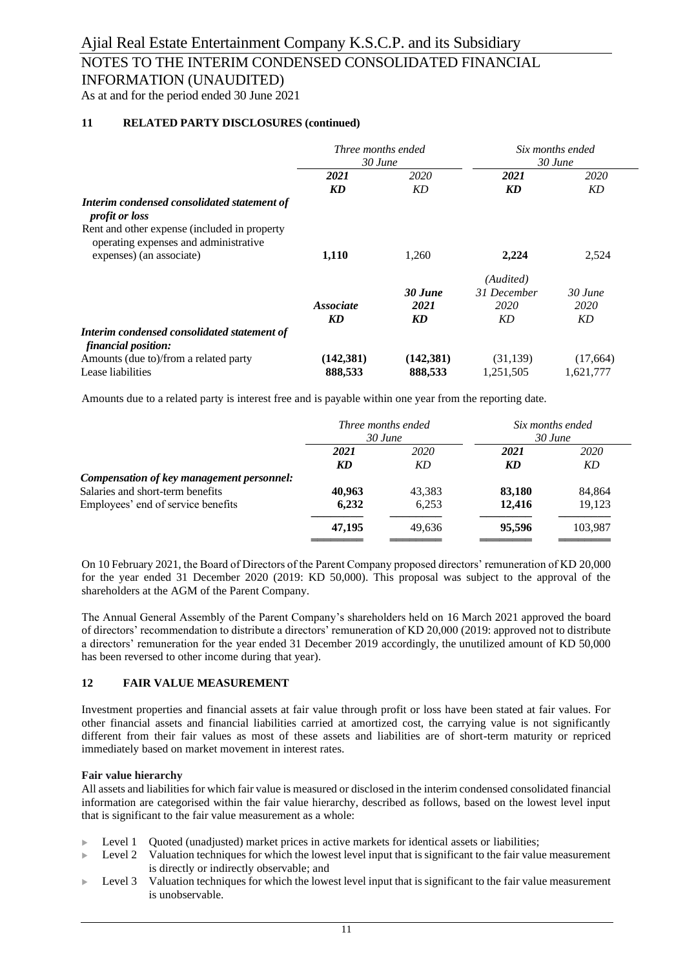# NOTES TO THE INTERIM CONDENSED CONSOLIDATED FINANCIAL

INFORMATION (UNAUDITED)

As at and for the period ended 30 June 2021

### **11 RELATED PARTY DISCLOSURES (continued)**

|                                                                                       | Three months ended<br>30 June |            | Six months ended<br>$30$ June |           |
|---------------------------------------------------------------------------------------|-------------------------------|------------|-------------------------------|-----------|
|                                                                                       | 2021                          | 2020       | 2021                          | 2020      |
|                                                                                       | KD                            | KD         | KD                            | KD        |
| Interim condensed consolidated statement of<br><i>profit or loss</i>                  |                               |            |                               |           |
| Rent and other expense (included in property<br>operating expenses and administrative |                               |            |                               |           |
| expenses) (an associate)                                                              | 1,110                         | 1,260      | 2,224                         | 2,524     |
|                                                                                       |                               |            | (Audited)                     |           |
|                                                                                       |                               | 30 June    | 31 December                   | $30$ June |
|                                                                                       | <i>Associate</i>              | 2021       | 2020                          | 2020      |
|                                                                                       | KD                            | KD         | KD                            | KD        |
| Interim condensed consolidated statement of<br>financial position:                    |                               |            |                               |           |
| Amounts (due to)/from a related party                                                 | (142, 381)                    | (142, 381) | (31, 139)                     | (17,664)  |
| Lease liabilities                                                                     | 888,533                       | 888,533    | 1,251,505                     | 1,621,777 |

Amounts due to a related party is interest free and is payable within one year from the reporting date.

|                                                                               | Three months ended<br>30 June |            | Six months ended<br>$30$ June |            |
|-------------------------------------------------------------------------------|-------------------------------|------------|-------------------------------|------------|
|                                                                               | 2021<br>KD                    | 2020<br>KD | 2021<br>KD                    | 2020<br>KD |
| Compensation of key management personnel:<br>Salaries and short-term benefits | 40,963                        | 43,383     | 83,180                        | 84,864     |
| Employees' end of service benefits                                            | 6,232                         | 6,253      | 12,416                        | 19,123     |
|                                                                               | 47,195                        | 49.636     | 95,596                        | 103,987    |

On 10 February 2021, the Board of Directors of the Parent Company proposed directors' remuneration of KD 20,000 for the year ended 31 December 2020 (2019: KD 50,000). This proposal was subject to the approval of the shareholders at the AGM of the Parent Company.

The Annual General Assembly of the Parent Company's shareholders held on 16 March 2021 approved the board of directors' recommendation to distribute a directors' remuneration of KD 20,000 (2019: approved not to distribute a directors' remuneration for the year ended 31 December 2019 accordingly, the unutilized amount of KD 50,000 has been reversed to other income during that year).

### **12 FAIR VALUE MEASUREMENT**

Investment properties and financial assets at fair value through profit or loss have been stated at fair values. For other financial assets and financial liabilities carried at amortized cost, the carrying value is not significantly different from their fair values as most of these assets and liabilities are of short-term maturity or repriced immediately based on market movement in interest rates.

### **Fair value hierarchy**

All assets and liabilities for which fair value is measured or disclosed in the interim condensed consolidated financial information are categorised within the fair value hierarchy, described as follows, based on the lowest level input that is significant to the fair value measurement as a whole:

- Level 1 Quoted (unadjusted) market prices in active markets for identical assets or liabilities;
- Level 2 Valuation techniques for which the lowest level input that is significant to the fair value measurement is directly or indirectly observable; and
- Level 3 Valuation techniques for which the lowest level input that is significant to the fair value measurement is unobservable.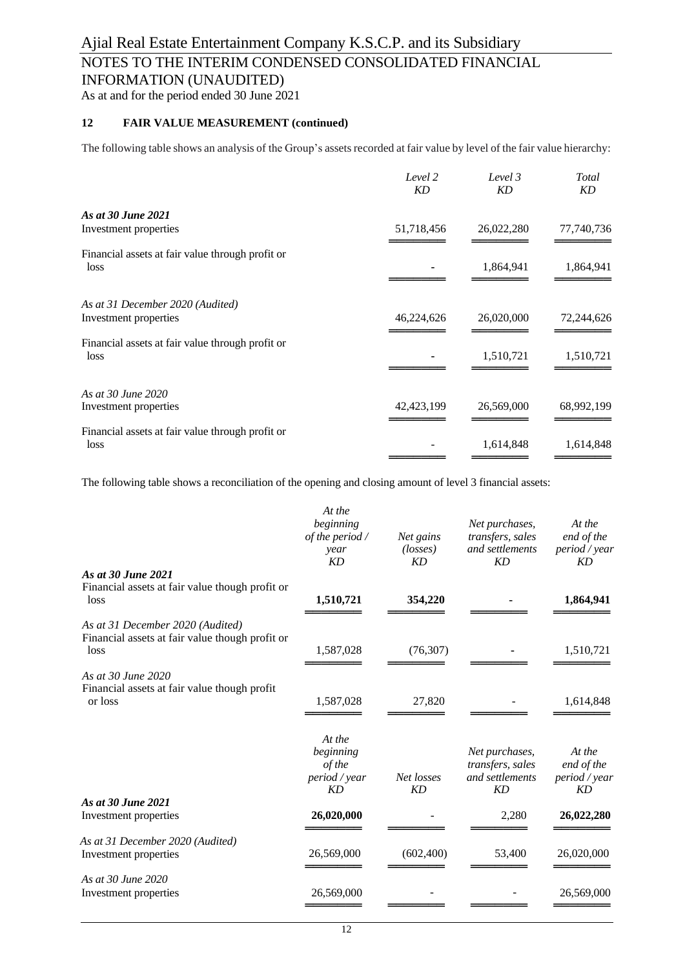# NOTES TO THE INTERIM CONDENSED CONSOLIDATED FINANCIAL

INFORMATION (UNAUDITED)

As at and for the period ended 30 June 2021

### **12 FAIR VALUE MEASUREMENT (continued)**

The following table shows an analysis of the Group's assets recorded at fair value by level of the fair value hierarchy:

|                                                          | Level 2<br><b>KD</b> | Level 3<br><b>KD</b> | Total<br>KD |
|----------------------------------------------------------|----------------------|----------------------|-------------|
| As at 30 June 2021                                       |                      |                      |             |
| Investment properties                                    | 51,718,456           | 26,022,280           | 77,740,736  |
| Financial assets at fair value through profit or<br>loss |                      | 1,864,941            | 1,864,941   |
|                                                          |                      |                      |             |
| As at 31 December 2020 (Audited)                         |                      |                      |             |
| Investment properties                                    | 46,224,626           | 26,020,000           | 72,244,626  |
| Financial assets at fair value through profit or<br>loss |                      | 1,510,721            | 1,510,721   |
| As at 30 June 2020                                       |                      |                      |             |
| Investment properties                                    | 42,423,199           | 26,569,000           | 68,992,199  |
| Financial assets at fair value through profit or<br>loss |                      | 1,614,848            | 1,614,848   |
|                                                          |                      |                      |             |

The following table shows a reconciliation of the opening and closing amount of level 3 financial assets:

|                                                                                             | At the<br>beginning<br>$of$ the period $/$<br>year<br>KD | Net gains<br>$(\text{losses})$<br>KD | Net purchases,<br>transfers, sales<br>and settlements<br>KD        | At the<br>end of the<br>period / year<br>KD |
|---------------------------------------------------------------------------------------------|----------------------------------------------------------|--------------------------------------|--------------------------------------------------------------------|---------------------------------------------|
| As at 30 June 2021<br>Financial assets at fair value though profit or<br>loss               | 1,510,721                                                | 354,220                              |                                                                    | 1,864,941                                   |
| As at 31 December 2020 (Audited)<br>Financial assets at fair value though profit or<br>loss | 1,587,028                                                | (76, 307)                            |                                                                    | 1,510,721                                   |
| As at 30 June 2020<br>Financial assets at fair value though profit<br>or loss               | 1,587,028                                                | 27,820                               |                                                                    | 1,614,848                                   |
|                                                                                             | At the<br>beginning<br>of the<br>period / year<br>KD     | Net losses<br>KD                     | Net purchases,<br>transfers, sales<br>and settlements<br><b>KD</b> | At the<br>end of the<br>period / year<br>KD |
| As at 30 June 2021<br>Investment properties                                                 | 26,020,000                                               |                                      | 2,280                                                              | 26,022,280                                  |
| As at 31 December 2020 (Audited)<br>Investment properties                                   | 26,569,000                                               | (602, 400)                           | 53,400                                                             | 26,020,000                                  |
| As at 30 June 2020<br>Investment properties                                                 | 26,569,000                                               |                                      |                                                                    | 26,569,000                                  |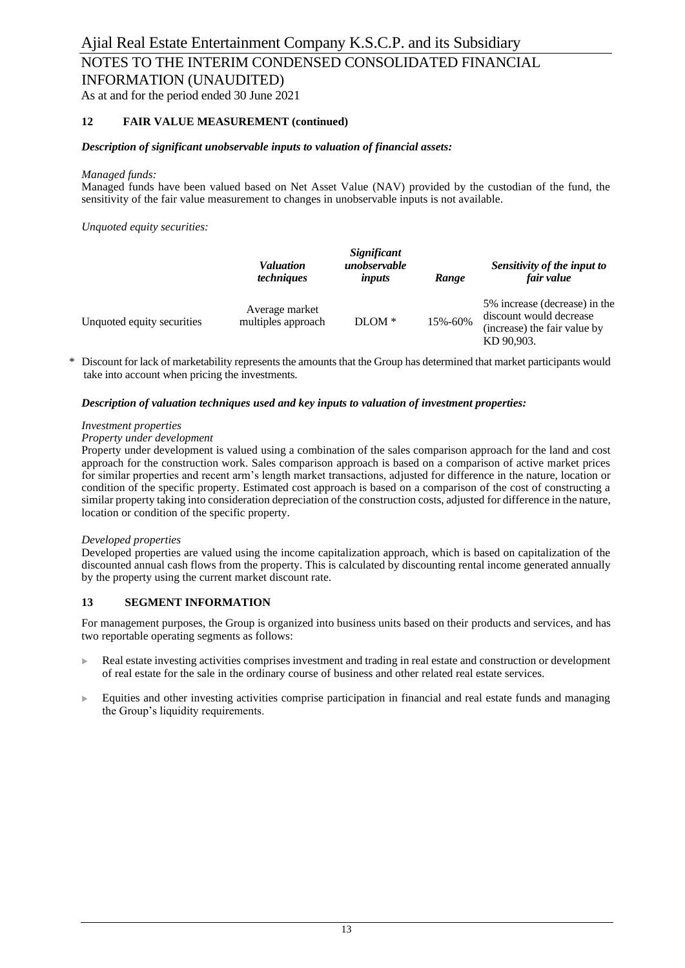# NOTES TO THE INTERIM CONDENSED CONSOLIDATED FINANCIAL

INFORMATION (UNAUDITED)

As at and for the period ended 30 June 2021

### **12 FAIR VALUE MEASUREMENT (continued)**

### *Description of significant unobservable inputs to valuation of financial assets:*

### *Managed funds:*

Managed funds have been valued based on Net Asset Value (NAV) provided by the custodian of the fund, the sensitivity of the fair value measurement to changes in unobservable inputs is not available.

*Unquoted equity securities:*

|                            | Significant<br>unobservable<br><i>Valuation</i><br><i>techniques</i><br>inputs |          | Range   | Sensitivity of the input to<br>fair value                                                              |  |
|----------------------------|--------------------------------------------------------------------------------|----------|---------|--------------------------------------------------------------------------------------------------------|--|
| Unquoted equity securities | Average market<br>multiples approach                                           | $DLOM *$ | 15%-60% | 5% increase (decrease) in the<br>discount would decrease<br>(increase) the fair value by<br>KD 90,903. |  |

Discount for lack of marketability represents the amounts that the Group has determined that market participants would take into account when pricing the investments.

### *Description of valuation techniques used and key inputs to valuation of investment properties:*

### *Investment properties*

### *Property under development*

Property under development is valued using a combination of the sales comparison approach for the land and cost approach for the construction work. Sales comparison approach is based on a comparison of active market prices for similar properties and recent arm's length market transactions, adjusted for difference in the nature, location or condition of the specific property. Estimated cost approach is based on a comparison of the cost of constructing a similar property taking into consideration depreciation of the construction costs, adjusted for difference in the nature, location or condition of the specific property.

### *Developed properties*

Developed properties are valued using the income capitalization approach, which is based on capitalization of the discounted annual cash flows from the property. This is calculated by discounting rental income generated annually by the property using the current market discount rate.

### **13 SEGMENT INFORMATION**

For management purposes, the Group is organized into business units based on their products and services, and has two reportable operating segments as follows:

- Real estate investing activities comprises investment and trading in real estate and construction or development of real estate for the sale in the ordinary course of business and other related real estate services.
- Equities and other investing activities comprise participation in financial and real estate funds and managing the Group's liquidity requirements.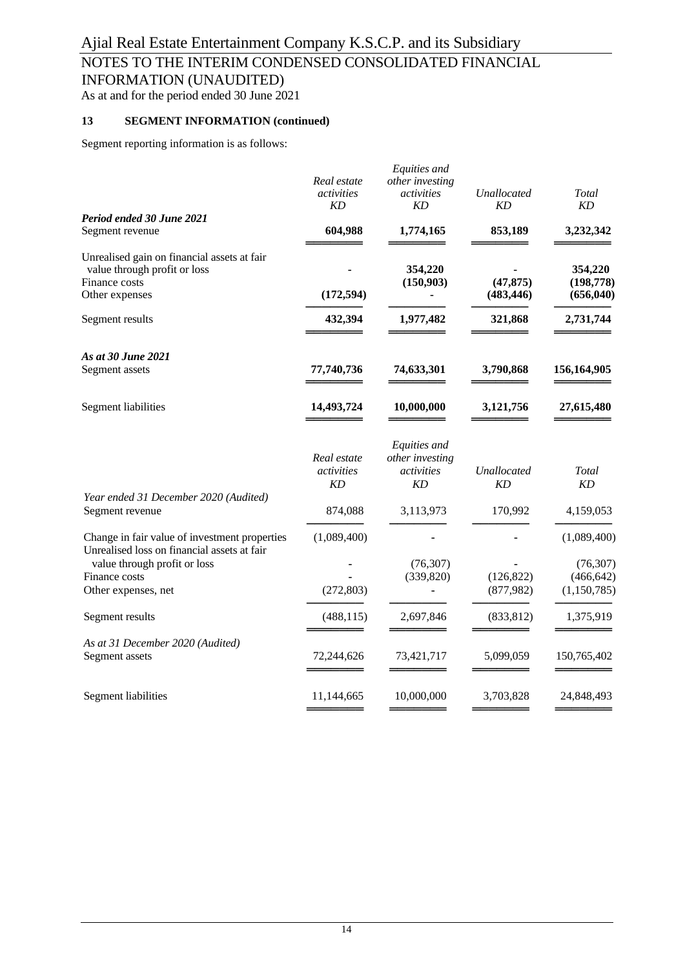# NOTES TO THE INTERIM CONDENSED CONSOLIDATED FINANCIAL

INFORMATION (UNAUDITED)

As at and for the period ended 30 June 2021

### **13 SEGMENT INFORMATION (continued)**

Segment reporting information is as follows:

| Real estate<br>activities<br>KD        | Equities and<br>other investing<br>activities<br>KD        | Unallocated<br>KD                                  | Total<br>KD                                                  |
|----------------------------------------|------------------------------------------------------------|----------------------------------------------------|--------------------------------------------------------------|
|                                        |                                                            |                                                    |                                                              |
|                                        |                                                            |                                                    | 3,232,342                                                    |
|                                        | 354,220                                                    |                                                    | 354,220                                                      |
| (172, 594)                             |                                                            | (483, 446)                                         | (198, 778)<br>(656, 040)                                     |
| 432,394                                | 1,977,482                                                  | 321,868                                            | 2,731,744                                                    |
|                                        |                                                            |                                                    |                                                              |
|                                        |                                                            |                                                    | 156,164,905                                                  |
| 14,493,724                             | 10,000,000                                                 | 3,121,756                                          | 27,615,480                                                   |
| Real estate<br>activities<br><b>KD</b> | Equities and<br>other investing<br>activities<br><b>KD</b> | Unallocated<br>KD                                  | Total<br>KD                                                  |
| 874,088                                | 3,113,973                                                  | 170,992                                            | 4,159,053                                                    |
| (1,089,400)                            |                                                            |                                                    | (1,089,400)                                                  |
|                                        | (76, 307)                                                  |                                                    | (76, 307)                                                    |
|                                        |                                                            |                                                    | (466, 642)<br>(1,150,785)                                    |
|                                        |                                                            |                                                    |                                                              |
| (488, 115)                             | 2,697,846                                                  | (833, 812)                                         | 1,375,919                                                    |
|                                        |                                                            |                                                    |                                                              |
| 72,244,626                             | 73,421,717                                                 | 5,099,059                                          | 150,765,402                                                  |
| 11,144,665                             | 10,000,000                                                 | 3,703,828                                          | 24,848,493                                                   |
|                                        | 604,988<br>77,740,736<br>(272, 803)                        | 1,774,165<br>(150,903)<br>74,633,301<br>(339, 820) | 853,189<br>(47, 875)<br>3,790,868<br>(126, 822)<br>(877,982) |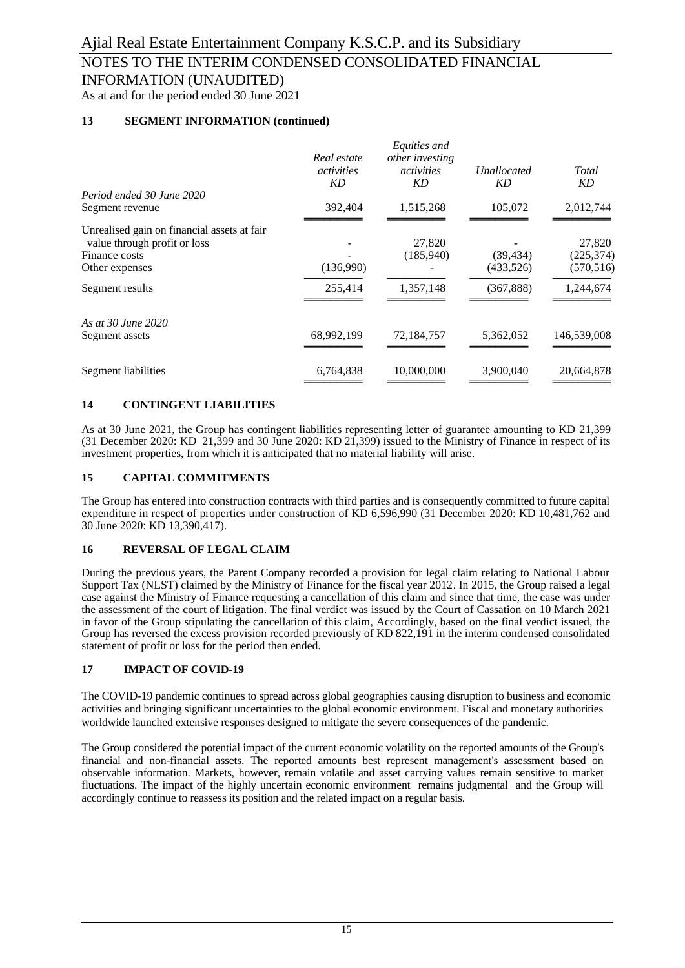## NOTES TO THE INTERIM CONDENSED CONSOLIDATED FINANCIAL INFORMATION (UNAUDITED)

As at and for the period ended 30 June 2021

### **13 SEGMENT INFORMATION (continued)**

| Real estate<br>activities<br>KD | Equities and<br>other investing<br><i>activities</i><br>KD | <b>Unallocated</b><br>KD | Total<br>KD |
|---------------------------------|------------------------------------------------------------|--------------------------|-------------|
|                                 |                                                            |                          |             |
| 392,404                         | 1,515,268                                                  | 105,072                  | 2,012,744   |
|                                 |                                                            |                          |             |
|                                 |                                                            |                          | 27,820      |
|                                 |                                                            |                          | (225, 374)  |
|                                 |                                                            | (433,526)                | (570, 516)  |
| 255,414                         | 1,357,148                                                  | (367, 888)               | 1,244,674   |
|                                 |                                                            |                          |             |
| 68,992,199                      | 72,184,757                                                 | 5,362,052                | 146,539,008 |
| 6,764,838                       | 10,000,000                                                 | 3,900,040                | 20,664,878  |
|                                 | (136,990)                                                  | 27,820<br>(185,940)      | (39, 434)   |

### **14 CONTINGENT LIABILITIES**

As at 30 June 2021, the Group has contingent liabilities representing letter of guarantee amounting to KD 21,399 (31 December 2020: KD 21,399 and 30 June 2020: KD 21,399) issued to the Ministry of Finance in respect of its investment properties, from which it is anticipated that no material liability will arise.

### **15 CAPITAL COMMITMENTS**

The Group has entered into construction contracts with third parties and is consequently committed to future capital expenditure in respect of properties under construction of KD 6,596,990 (31 December 2020: KD 10,481,762 and 30 June 2020: KD 13,390,417).

### **16 REVERSAL OF LEGAL CLAIM**

During the previous years, the Parent Company recorded a provision for legal claim relating to National Labour Support Tax (NLST) claimed by the Ministry of Finance for the fiscal year 2012. In 2015, the Group raised a legal case against the Ministry of Finance requesting a cancellation of this claim and since that time, the case was under the assessment of the court of litigation. The final verdict was issued by the Court of Cassation on 10 March 2021 in favor of the Group stipulating the cancellation of this claim, Accordingly, based on the final verdict issued, the Group has reversed the excess provision recorded previously of KD 822,191 in the interim condensed consolidated statement of profit or loss for the period then ended.

### **17 IMPACT OF COVID-19**

The COVID-19 pandemic continues to spread across global geographies causing disruption to business and economic activities and bringing significant uncertainties to the global economic environment. Fiscal and monetary authorities worldwide launched extensive responses designed to mitigate the severe consequences of the pandemic.

The Group considered the potential impact of the current economic volatility on the reported amounts of the Group's financial and non-financial assets. The reported amounts best represent management's assessment based on observable information. Markets, however, remain volatile and asset carrying values remain sensitive to market fluctuations. The impact of the highly uncertain economic environment remains judgmental and the Group will accordingly continue to reassess its position and the related impact on a regular basis.